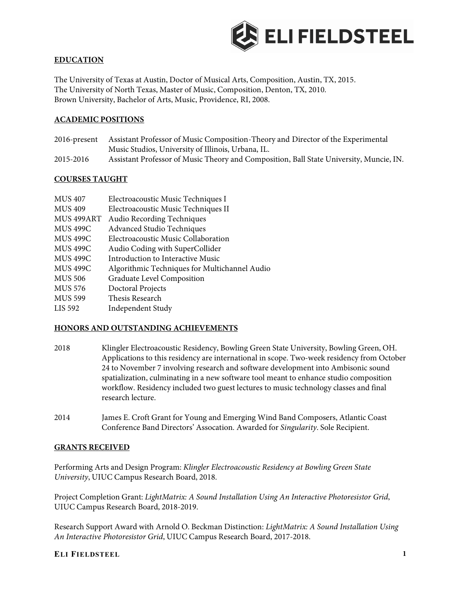

### **EDUCATION**

The University of Texas at Austin, Doctor of Musical Arts, Composition, Austin, TX, 2015. The University of North Texas, Master of Music, Composition, Denton, TX, 2010. Brown University, Bachelor of Arts, Music, Providence, RI, 2008.

### **ACADEMIC POSITIONS**

- 2016-present Assistant Professor of Music Composition-Theory and Director of the Experimental Music Studios, University of Illinois, Urbana, IL.
- 2015-2016 Assistant Professor of Music Theory and Composition, Ball State University, Muncie, IN.

#### **COURSES TAUGHT**

| <b>MUS 407</b>  | Electroacoustic Music Techniques I            |
|-----------------|-----------------------------------------------|
| <b>MUS 409</b>  | Electroacoustic Music Techniques II           |
| MUS 499ART      | Audio Recording Techniques                    |
| <b>MUS 499C</b> | Advanced Studio Techniques                    |
| <b>MUS 499C</b> | Electroacoustic Music Collaboration           |
| <b>MUS 499C</b> | Audio Coding with SuperCollider               |
| <b>MUS 499C</b> | Introduction to Interactive Music             |
| <b>MUS 499C</b> | Algorithmic Techniques for Multichannel Audio |
| <b>MUS 506</b>  | Graduate Level Composition                    |
| <b>MUS 576</b>  | Doctoral Projects                             |
| <b>MUS 599</b>  | Thesis Research                               |
| LIS 592         | Independent Study                             |

#### **HONORS AND OUTSTANDING ACHIEVEMENTS**

- 2018 Klingler Electroacoustic Residency, Bowling Green State University, Bowling Green, OH. Applications to this residency are international in scope. Two-week residency from October 24 to November 7 involving research and software development into Ambisonic sound spatialization, culminating in a new software tool meant to enhance studio composition workflow. Residency included two guest lectures to music technology classes and final research lecture.
- 2014 James E. Croft Grant for Young and Emerging Wind Band Composers, Atlantic Coast Conference Band Directors' Assocation. Awarded for *Singularity*. Sole Recipient.

#### **GRANTS RECEIVED**

Performing Arts and Design Program: *Klingler Electroacoustic Residency at Bowling Green State University*, UIUC Campus Research Board, 2018.

Project Completion Grant: *LightMatrix: A Sound Installation Using An Interactive Photoresistor Grid*, UIUC Campus Research Board, 2018-2019.

Research Support Award with Arnold O. Beckman Distinction: *LightMatrix: A Sound Installation Using An Interactive Photoresistor Grid*, UIUC Campus Research Board, 2017-2018.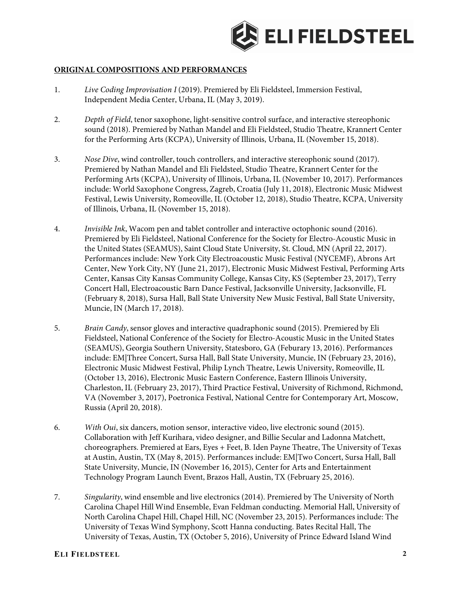

### **ORIGINAL COMPOSITIONS AND PERFORMANCES**

- 1. *Live Coding Improvisation I* (2019). Premiered by Eli Fieldsteel, Immersion Festival, Independent Media Center, Urbana, IL (May 3, 2019).
- 2. *Depth of Field*, tenor saxophone, light-sensitive control surface, and interactive stereophonic sound (2018). Premiered by Nathan Mandel and Eli Fieldsteel, Studio Theatre, Krannert Center for the Performing Arts (KCPA), University of Illinois, Urbana, IL (November 15, 2018).
- 3. *Nose Dive*, wind controller, touch controllers, and interactive stereophonic sound (2017). Premiered by Nathan Mandel and Eli Fieldsteel, Studio Theatre, Krannert Center for the Performing Arts (KCPA), University of Illinois, Urbana, IL (November 10, 2017). Performances include: World Saxophone Congress, Zagreb, Croatia (July 11, 2018), Electronic Music Midwest Festival, Lewis University, Romeoville, IL (October 12, 2018), Studio Theatre, KCPA, University of Illinois, Urbana, IL (November 15, 2018).
- 4. *Invisible Ink*, Wacom pen and tablet controller and interactive octophonic sound (2016). Premiered by Eli Fieldsteel, National Conference for the Society for Electro-Acoustic Music in the United States (SEAMUS), Saint Cloud State University, St. Cloud, MN (April 22, 2017). Performances include: New York City Electroacoustic Music Festival (NYCEMF), Abrons Art Center, New York City, NY (June 21, 2017), Electronic Music Midwest Festival, Performing Arts Center, Kansas City Kansas Community College, Kansas City, KS (September 23, 2017), Terry Concert Hall, Electroacoustic Barn Dance Festival, Jacksonville University, Jacksonville, FL (February 8, 2018), Sursa Hall, Ball State University New Music Festival, Ball State University, Muncie, IN (March 17, 2018).
- 5. *Brain Candy*, sensor gloves and interactive quadraphonic sound (2015). Premiered by Eli Fieldsteel, National Conference of the Society for Electro-Acoustic Music in the United States (SEAMUS), Georgia Southern University, Statesboro, GA (Feburary 13, 2016). Performances include: EM|Three Concert, Sursa Hall, Ball State University, Muncie, IN (February 23, 2016), Electronic Music Midwest Festival, Philip Lynch Theatre, Lewis University, Romeoville, IL (October 13, 2016), Electronic Music Eastern Conference, Eastern Illinois University, Charleston, IL (February 23, 2017), Third Practice Festival, University of Richmond, Richmond, VA (November 3, 2017), Poetronica Festival, National Centre for Contemporary Art, Moscow, Russia (April 20, 2018).
- 6. *With Oui*, six dancers, motion sensor, interactive video, live electronic sound (2015). Collaboration with Jeff Kurihara, video designer, and Billie Secular and Ladonna Matchett, choreographers. Premiered at Ears, Eyes + Feet, B. Iden Payne Theatre, The University of Texas at Austin, Austin, TX (May 8, 2015). Performances include: EM|Two Concert, Sursa Hall, Ball State University, Muncie, IN (November 16, 2015), Center for Arts and Entertainment Technology Program Launch Event, Brazos Hall, Austin, TX (February 25, 2016).
- 7. *Singularity*, wind ensemble and live electronics (2014). Premiered by The University of North Carolina Chapel Hill Wind Ensemble, Evan Feldman conducting. Memorial Hall, University of North Carolina Chapel Hill, Chapel Hill, NC (November 23, 2015). Performances include: The University of Texas Wind Symphony, Scott Hanna conducting. Bates Recital Hall, The University of Texas, Austin, TX (October 5, 2016), University of Prince Edward Island Wind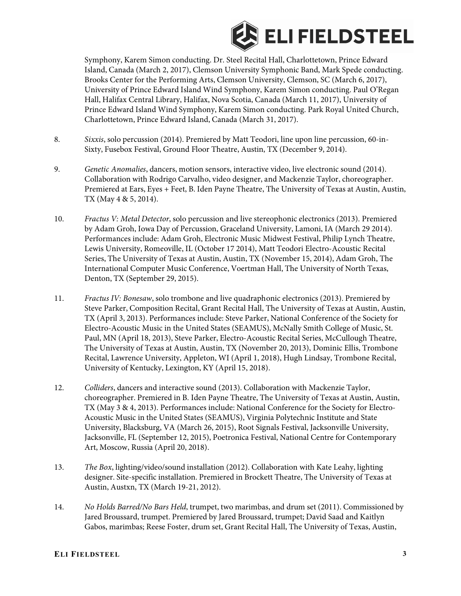

Symphony, Karem Simon conducting. Dr. Steel Recital Hall, Charlottetown, Prince Edward Island, Canada (March 2, 2017), Clemson University Symphonic Band, Mark Spede conducting. Brooks Center for the Performing Arts, Clemson University, Clemson, SC (March 6, 2017), University of Prince Edward Island Wind Symphony, Karem Simon conducting. Paul O'Regan Hall, Halifax Central Library, Halifax, Nova Scotia, Canada (March 11, 2017), University of Prince Edward Island Wind Symphony, Karem Simon conducting. Park Royal United Church, Charlottetown, Prince Edward Island, Canada (March 31, 2017).

- 8. *Sixxis*, solo percussion (2014). Premiered by Matt Teodori, line upon line percussion, 60-in-Sixty, Fusebox Festival, Ground Floor Theatre, Austin, TX (December 9, 2014).
- 9. *Genetic Anomalies*, dancers, motion sensors, interactive video, live electronic sound (2014). Collaboration with Rodrigo Carvalho, video designer, and Mackenzie Taylor, choreographer. Premiered at Ears, Eyes + Feet, B. Iden Payne Theatre, The University of Texas at Austin, Austin, TX (May 4 & 5, 2014).
- 10. *Fractus V: Metal Detector*, solo percussion and live stereophonic electronics (2013). Premiered by Adam Groh, Iowa Day of Percussion, Graceland University, Lamoni, IA (March 29 2014). Performances include: Adam Groh, Electronic Music Midwest Festival, Philip Lynch Theatre, Lewis University, Romeoville, IL (October 17 2014), Matt Teodori Electro-Acoustic Recital Series, The University of Texas at Austin, Austin, TX (November 15, 2014), Adam Groh, The International Computer Music Conference, Voertman Hall, The University of North Texas, Denton, TX (September 29, 2015).
- 11. *Fractus IV: Bonesaw*, solo trombone and live quadraphonic electronics (2013). Premiered by Steve Parker, Composition Recital, Grant Recital Hall, The University of Texas at Austin, Austin, TX (April 3, 2013). Performances include: Steve Parker, National Conference of the Society for Electro-Acoustic Music in the United States (SEAMUS), McNally Smith College of Music, St. Paul, MN (April 18, 2013), Steve Parker, Electro-Acoustic Recital Series, McCullough Theatre, The University of Texas at Austin, Austin, TX (November 20, 2013), Dominic Ellis, Trombone Recital, Lawrence University, Appleton, WI (April 1, 2018), Hugh Lindsay, Trombone Recital, University of Kentucky, Lexington, KY (April 15, 2018).
- 12. *Colliders*, dancers and interactive sound (2013). Collaboration with Mackenzie Taylor, choreographer. Premiered in B. Iden Payne Theatre, The University of Texas at Austin, Austin, TX (May 3 & 4, 2013). Performances include: National Conference for the Society for Electro-Acoustic Music in the United States (SEAMUS), Virginia Polytechnic Institute and State University, Blacksburg, VA (March 26, 2015), Root Signals Festival, Jacksonville University, Jacksonville, FL (September 12, 2015), Poetronica Festival, National Centre for Contemporary Art, Moscow, Russia (April 20, 2018).
- 13. *The Box*, lighting/video/sound installation (2012). Collaboration with Kate Leahy, lighting designer. Site-specific installation. Premiered in Brockett Theatre, The University of Texas at Austin, Austxn, TX (March 19-21, 2012).
- 14. *No Holds Barred/No Bars Held*, trumpet, two marimbas, and drum set (2011). Commissioned by Jared Broussard, trumpet. Premiered by Jared Broussard, trumpet; David Saad and Kaitlyn Gabos, marimbas; Reese Foster, drum set, Grant Recital Hall, The University of Texas, Austin,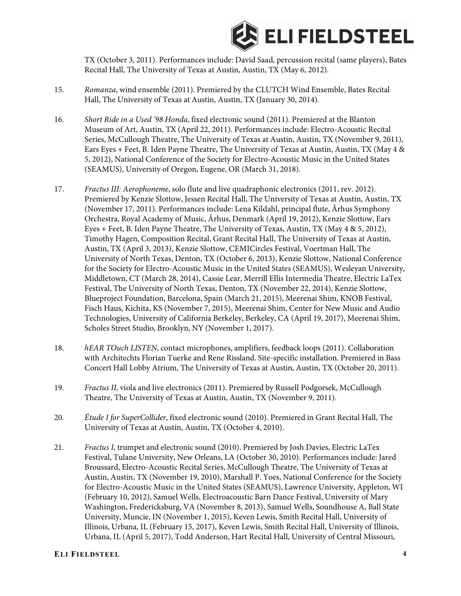

TX (October 3, 2011). Performances include: David Saad, percussion recital (same players), Bates Recital Hall, The University of Texas at Austin, Austin, TX (May 6, 2012).

- 15. *Romanza*, wind ensemble (2011). Premiered by the CLUTCH Wind Ensemble, Bates Recital Hall, The University of Texas at Austin, Austin, TX (January 30, 2014).
- 16. *Short Ride in a Used '98 Honda*, fixed electronic sound (2011). Premiered at the Blanton Museum of Art, Austin, TX (April 22, 2011). Performances include: Electro-Acoustic Recital Series, McCullough Theatre, The University of Texas at Austin, Austin, TX (November 9, 2011), Ears Eyes + Feet, B. Iden Payne Theatre, The University of Texas at Austin, Austin, TX (May 4 & 5, 2012), National Conference of the Society for Electro-Acoustic Music in the United States (SEAMUS), University of Oregon, Eugene, OR (March 31, 2018).
- 17. *Fractus III: Aerophoneme*, solo flute and live quadraphonic electronics (2011, rev. 2012). Premiered by Kenzie Slottow, Jessen Recital Hall, The University of Texas at Austin, Austin, TX (November 17, 2011). Performances include: Lena Kildahl, principal flute, Århus Symphony Orchestra, Royal Academy of Music, Århus, Denmark (April 19, 2012), Kenzie Slottow, Ears Eyes + Feet, B. Iden Payne Theatre, The University of Texas, Austin, TX (May 4 & 5, 2012), Timothy Hagen, Composition Recital, Grant Recital Hall, The University of Texas at Austin, Austin, TX (April 3, 2013), Kenzie Slottow, CEMICircles Festival, Voertman Hall, The University of North Texas, Denton, TX (October 6, 2013), Kenzie Slottow, National Conference for the Society for Electro-Acoustic Music in the United States (SEAMUS), Wesleyan University, Middletown, CT (March 28, 2014), Cassie Lear, Merrill Ellis Intermedia Theatre, Electric LaTex Festival, The University of North Texas, Denton, TX (November 22, 2014), Kenzie Slottow, Blueproject Foundation, Barcelona, Spain (March 21, 2015), Meerenai Shim, KNOB Festival, Fisch Haus, Kichita, KS (November 7, 2015), Meerenai Shim, Center for New Music and Audio Technologies, University of California Berkeley, Berkeley, CA (April 19, 2017), Meerenai Shim, Scholes Street Studio, Brooklyn, NY (November 1, 2017).
- 18. *hEAR TOuch LISTEN*, contact microphones, amplifiers, feedback loops (2011). Collaboration with Architechts Florian Tuerke and Rene Rissland. Site-specific installation. Premiered in Bass Concert Hall Lobby Atrium, The University of Texas at Austin, Austin, TX (October 20, 2011).
- 19. *Fractus II*, viola and live electronics (2011). Premiered by Russell Podgorsek, McCullough Theatre, The University of Texas at Austin, Austin, TX (November 9, 2011).
- 20. *Étude I for SuperCollider*, fixed electronic sound (2010). Premiered in Grant Recital Hall, The University of Texas at Austin, Austin, TX (October 4, 2010).
- 21. *Fractus I*, trumpet and electronic sound (2010). Premiered by Josh Davies, Electric LaTex Festival, Tulane University, New Orleans, LA (October 30, 2010). Performances include: Jared Broussard, Electro-Acoustic Recital Series, McCullough Theatre, The University of Texas at Austin, Austin, TX (November 19, 2010), Marshall P. Yoes, National Conference for the Society for Electro-Acoustic Music in the United States (SEAMUS), Lawrence University, Appleton, WI (February 10, 2012), Samuel Wells, Electroacoustic Barn Dance Festival, University of Mary Washington, Fredericksburg, VA (November 8, 2013), Samuel Wells, Soundhouse A, Ball State University, Muncie, IN (November 1, 2015), Keven Lewis, Smith Recital Hall, University of Illinois, Urbana, IL (February 15, 2017), Keven Lewis, Smith Recital Hall, University of Illinois, Urbana, IL (April 5, 2017), Todd Anderson, Hart Recital Hall, University of Central Missouri,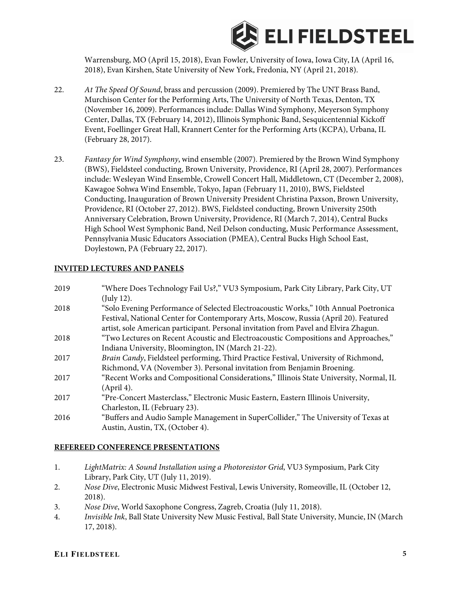

Warrensburg, MO (April 15, 2018), Evan Fowler, University of Iowa, Iowa City, IA (April 16, 2018), Evan Kirshen, State University of New York, Fredonia, NY (April 21, 2018).

- 22. *At The Speed Of Sound*, brass and percussion (2009). Premiered by The UNT Brass Band, Murchison Center for the Performing Arts, The University of North Texas, Denton, TX (November 16, 2009). Performances include: Dallas Wind Symphony, Meyerson Symphony Center, Dallas, TX (February 14, 2012), Illinois Symphonic Band, Sesquicentennial Kickoff Event, Foellinger Great Hall, Krannert Center for the Performing Arts (KCPA), Urbana, IL (February 28, 2017).
- 23. *Fantasy for Wind Symphony*, wind ensemble (2007). Premiered by the Brown Wind Symphony (BWS), Fieldsteel conducting, Brown University, Providence, RI (April 28, 2007). Performances include: Wesleyan Wind Ensemble, Crowell Concert Hall, Middletown, CT (December 2, 2008), Kawagoe Sohwa Wind Ensemble, Tokyo, Japan (February 11, 2010), BWS, Fieldsteel Conducting, Inauguration of Brown University President Christina Paxson, Brown University, Providence, RI (October 27, 2012). BWS, Fieldsteel conducting, Brown University 250th Anniversary Celebration, Brown University, Providence, RI (March 7, 2014), Central Bucks High School West Symphonic Band, Neil Delson conducting, Music Performance Assessment, Pennsylvania Music Educators Association (PMEA), Central Bucks High School East, Doylestown, PA (February 22, 2017).

#### **INVITED LECTURES AND PANELS**

| 2019 | "Where Does Technology Fail Us?," VU3 Symposium, Park City Library, Park City, UT      |
|------|----------------------------------------------------------------------------------------|
|      | $($ July 12 $).$                                                                       |
| 2018 | "Solo Evening Performance of Selected Electroacoustic Works," 10th Annual Poetronica   |
|      | Festival, National Center for Contemporary Arts, Moscow, Russia (April 20). Featured   |
|      | artist, sole American participant. Personal invitation from Pavel and Elvira Zhagun.   |
| 2018 | "Two Lectures on Recent Acoustic and Electroacoustic Compositions and Approaches,"     |
|      | Indiana University, Bloomington, IN (March 21-22).                                     |
| 2017 | Brain Candy, Fieldsteel performing, Third Practice Festival, University of Richmond,   |
|      | Richmond, VA (November 3). Personal invitation from Benjamin Broening.                 |
| 2017 | "Recent Works and Compositional Considerations," Illinois State University, Normal, IL |
|      | (April 4).                                                                             |
| 2017 | "Pre-Concert Masterclass," Electronic Music Eastern, Eastern Illinois University,      |
|      | Charleston, IL (February 23).                                                          |
| 2016 | "Buffers and Audio Sample Management in SuperCollider," The University of Texas at     |
|      | Austin, Austin, TX, (October 4).                                                       |

#### **REFEREED CONFERENCE PRESENTATIONS**

- 1. *LightMatrix: A Sound Installation using a Photoresistor Grid*, VU3 Symposium, Park City Library, Park City, UT (July 11, 2019).
- 2. *Nose Dive*, Electronic Music Midwest Festival, Lewis University, Romeoville, IL (October 12, 2018).
- 3. *Nose Dive*, World Saxophone Congress, Zagreb, Croatia (July 11, 2018).
- 4. *Invisible Ink*, Ball State University New Music Festival, Ball State University, Muncie, IN (March 17, 2018).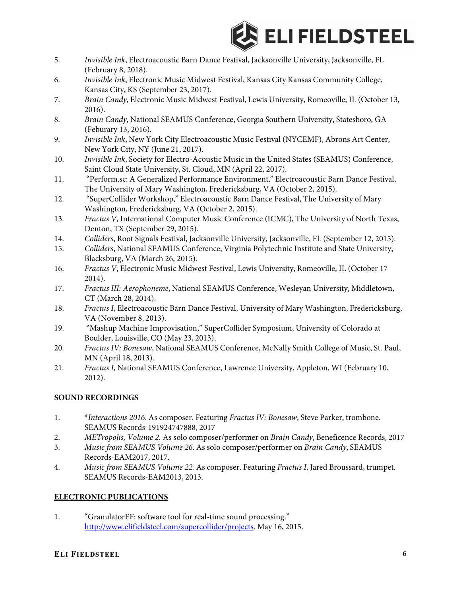

- 5. *Invisible Ink*, Electroacoustic Barn Dance Festival, Jacksonville University, Jacksonville, FL (February 8, 2018).
- 6. *Invisible Ink*, Electronic Music Midwest Festival, Kansas City Kansas Community College, Kansas City, KS (September 23, 2017).
- 7. *Brain Candy*, Electronic Music Midwest Festival, Lewis University, Romeoville, IL (October 13, 2016).
- 8. *Brain Candy*, National SEAMUS Conference, Georgia Southern University, Statesboro, GA (Feburary 13, 2016).
- 9. *Invisible Ink*, New York City Electroacoustic Music Festival (NYCEMF), Abrons Art Center, New York City, NY (June 21, 2017).
- 10. *Invisible Ink*, Society for Electro-Acoustic Music in the United States (SEAMUS) Conference, Saint Cloud State University, St. Cloud, MN (April 22, 2017).
- 11. "Perform.sc: A Generalized Performance Environment," Electroacoustic Barn Dance Festival, The University of Mary Washington, Fredericksburg, VA (October 2, 2015).
- 12. "SuperCollider Workshop," Electroacoustic Barn Dance Festival, The University of Mary Washington, Fredericksburg, VA (October 2, 2015).
- 13. *Fractus V*, International Computer Music Conference (ICMC), The University of North Texas, Denton, TX (September 29, 2015).
- 14. *Colliders*, Root Signals Festival, Jacksonville University, Jacksonville, FL (September 12, 2015).
- 15. *Colliders*, National SEAMUS Conference, Virginia Polytechnic Institute and State University, Blacksburg, VA (March 26, 2015).
- 16. *Fractus V*, Electronic Music Midwest Festival, Lewis University, Romeoville, IL (October 17 2014).
- 17. *Fractus III: Aerophoneme*, National SEAMUS Conference, Wesleyan University, Middletown, CT (March 28, 2014).
- 18. *Fractus I*, Electroacoustic Barn Dance Festival, University of Mary Washington, Fredericksburg, VA (November 8, 2013).
- 19. "Mashup Machine Improvisation," SuperCollider Symposium, University of Colorado at Boulder, Louisville, CO (May 23, 2013).
- 20. *Fractus IV: Bonesaw*, National SEAMUS Conference, McNally Smith College of Music, St. Paul, MN (April 18, 2013).
- 21. *Fractus I*, National SEAMUS Conference, Lawrence University, Appleton, WI (February 10, 2012).

# **SOUND RECORDINGS**

- 1. \**Interactions 2016*. As composer. Featuring *Fractus IV: Bonesaw*, Steve Parker, trombone. SEAMUS Records-191924747888, 2017
- 2. *METropolis, Volume 2.* As solo composer/performer on *Brain Candy*, Beneficence Records, 2017
- 3. *Music from SEAMUS Volume 26*. As solo composer/performer on *Brain Candy*, SEAMUS Records-EAM2017, 2017.
- 4. *Music from SEAMUS Volume 22.* As composer. Featuring *Fractus I*, Jared Broussard, trumpet. SEAMUS Records-EAM2013, 2013.

# **ELECTRONIC PUBLICATIONS**

1. "GranulatorEF: software tool for real-time sound processing." http://www.elifieldsteel.com/supercollider/projects. May 16, 2015.